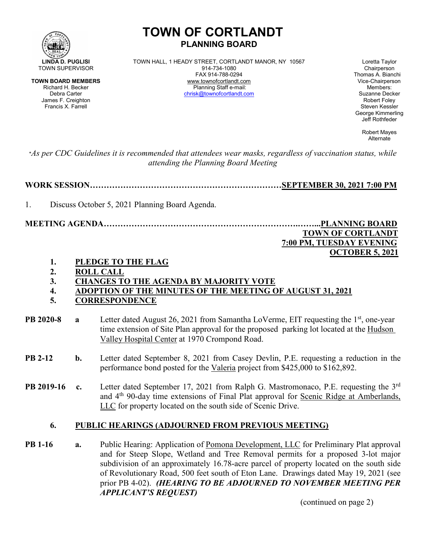

Francis X. Farrell

# **TOWN OF CORTLANDT PLANNING BOARD**

**LINDA D. PUGLISI** TOWN HALL, 1 HEADY STREET, CORTLANDT MANOR, NY 10567 Loretta Taylor<br>
914-734-1080 MALL, 1 HEADY STREET, CORTLANDT MANOR, NY 10567 Chairperson FAX 914-788-0294 Thomas A. Bianchi **TOWN BOARD MEMBERS** www.townofcortlandt.com www.townofcontlandt.com Vice-Chairpers<br>Richard H. Becker **Chairpers** Planning Staff e-mail: Members: Members: Richard H. Becker Planning Staff e-mail: Members: [chrisk@townofcortlandt.com](mailto:chrisk@townofcortlandt.com)

James F. Creighton Robert Foley George Kimmerling Jeff Rothfeder

> Robert Mayes Alternate

 **OCTOBER 5, 2021**

\**As per CDC Guidelines it is recommended that attendees wear masks, regardless of vaccination status, while attending the Planning Board Meeting*

**WORK SESSION……………………………………………………………SEPTEMBER 30, 2021 7:00 PM**

1. Discuss October 5, 2021 Planning Board Agenda.

**MEETING AGENDA…………………………………………………………….……...PLANNING BOARD TOWN OF CORTLANDT 7:00 PM, TUESDAY EVENING**

**1. PLEDGE TO THE FLAG**

- **2. ROLL CALL**
- **3. CHANGES TO THE AGENDA BY MAJORITY VOTE**
- **4. ADOPTION OF THE MINUTES OF THE MEETING OF AUGUST 31, 2021**
- **5. CORRESPONDENCE**
- **PB 2020-8 a** Letter dated August 26, 2021 from Samantha LoVerme, EIT requesting the 1<sup>st</sup>, one-year time extension of Site Plan approval for the proposed parking lot located at the Hudson Valley Hospital Center at 1970 Crompond Road.
- **PB 2-12 b.** Letter dated September 8, 2021 from Casey Devlin, P.E. requesting a reduction in the performance bond posted for the Valeria project from \$425,000 to \$162,892.
- **PB 2019-16** c. Letter dated September 17, 2021 from Ralph G. Mastromonaco, P.E. requesting the 3<sup>rd</sup> and 4th 90-day time extensions of Final Plat approval for Scenic Ridge at Amberlands, LLC for property located on the south side of Scenic Drive.

## **6. PUBLIC HEARINGS (ADJOURNED FROM PREVIOUS MEETING)**

**PB 1-16 a.** Public Hearing: Application of Pomona Development, LLC for Preliminary Plat approval and for Steep Slope, Wetland and Tree Removal permits for a proposed 3-lot major subdivision of an approximately 16.78-acre parcel of property located on the south side of Revolutionary Road, 500 feet south of Eton Lane. Drawings dated May 19, 2021 (see prior PB 4-02). *(HEARING TO BE ADJOURNED TO NOVEMBER MEETING PER APPLICANT'S REQUEST)*

(continued on page 2)